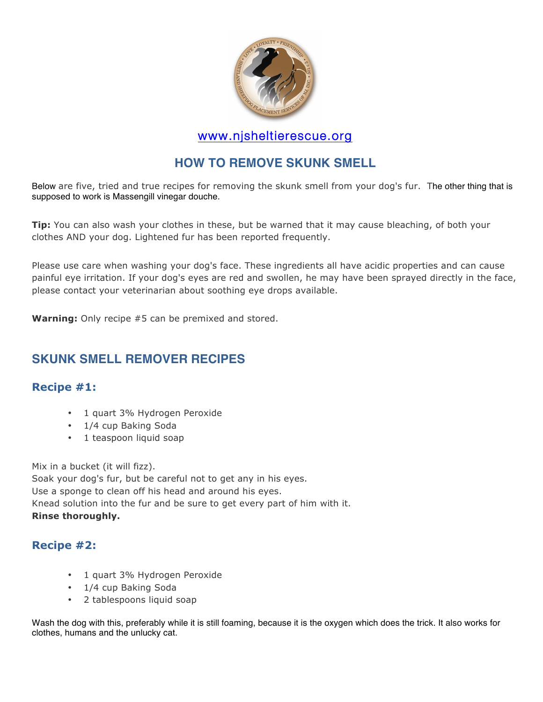

### www.njsheltierescue.org

# **HOW TO REMOVE SKUNK SMELL**

Below are five, tried and true recipes for removing the skunk smell from your dog's fur. The other thing that is supposed to work is Massengill vinegar douche.

**Tip:** You can also wash your clothes in these, but be warned that it may cause bleaching, of both your clothes AND your dog. Lightened fur has been reported frequently.

Please use care when washing your dog's face. These ingredients all have acidic properties and can cause painful eye irritation. If your dog's eyes are red and swollen, he may have been sprayed directly in the face, please contact your veterinarian about soothing eye drops available.

**Warning:** Only recipe #5 can be premixed and stored.

# **SKUNK SMELL REMOVER RECIPES**

#### **Recipe #1:**

- 1 quart 3% Hydrogen Peroxide
- 1/4 cup Baking Soda
- 1 teaspoon liquid soap

Mix in a bucket (it will fizz). Soak your dog's fur, but be careful not to get any in his eyes. Use a sponge to clean off his head and around his eyes. Knead solution into the fur and be sure to get every part of him with it. **Rinse thoroughly.**

#### **Recipe #2:**

- 1 quart 3% Hydrogen Peroxide
- 1/4 cup Baking Soda
- 2 tablespoons liquid soap

Wash the dog with this, preferably while it is still foaming, because it is the oxygen which does the trick. It also works for clothes, humans and the unlucky cat.